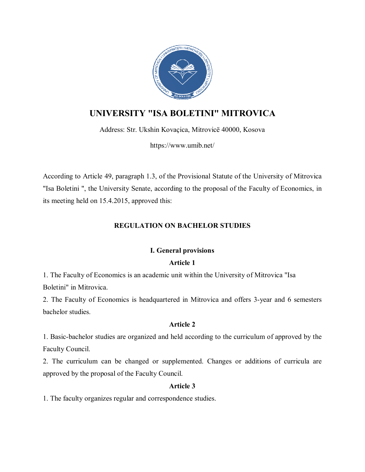

# **UNIVERSITY "ISA BOLETINI" MITROVICA**

Address: Str. Ukshin Kovaçica, Mitrovicë 40000, Kosova

https://www.umib.net/

According to Article 49, paragraph 1.3, of the Provisional Statute of the University of Mitrovica "Isa Boletini ", the University Senate, according to the proposal of the Faculty of Economics, in its meeting held on 15.4.2015, approved this:

# **REGULATION ON BACHELOR STUDIES**

# **I. General provisions**

# **Article 1**

1. The Faculty of Economics is an academic unit within the University of Mitrovica "Isa Boletini" in Mitrovica.

2. The Faculty of Economics is headquartered in Mitrovica and offers 3-year and 6 semesters bachelor studies.

# **Article 2**

1. Basic-bachelor studies are organized and held according to the curriculum of approved by the Faculty Council.

2. The curriculum can be changed or supplemented. Changes or additions of curricula are approved by the proposal of the Faculty Council.

# **Article 3**

1. The faculty organizes regular and correspondence studies.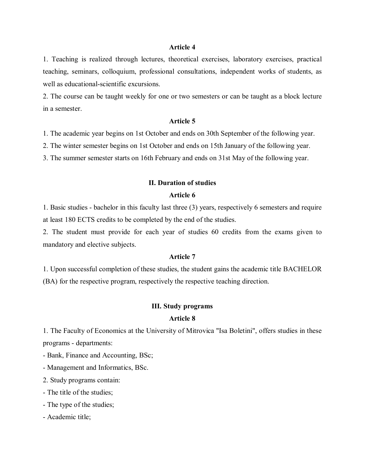1. Teaching is realized through lectures, theoretical exercises, laboratory exercises, practical teaching, seminars, colloquium, professional consultations, independent works of students, as well as educational-scientific excursions.

2. The course can be taught weekly for one or two semesters or can be taught as a block lecture in a semester.

#### **Article 5**

1. The academic year begins on 1st October and ends on 30th September of the following year.

2. The winter semester begins on 1st October and ends on 15th January of the following year.

3. The summer semester starts on 16th February and ends on 31st May of the following year.

#### **II. Duration of studies**

### **Article 6**

1. Basic studies - bachelor in this faculty last three (3) years, respectively 6 semesters and require at least 180 ECTS credits to be completed by the end of the studies.

2. The student must provide for each year of studies 60 credits from the exams given to mandatory and elective subjects.

### **Article 7**

1. Upon successful completion of these studies, the student gains the academic title BACHELOR (BA) for the respective program, respectively the respective teaching direction.

#### **III. Study programs**

# **Article 8**

1. The Faculty of Economics at the University of Mitrovica "Isa Boletini", offers studies in these programs - departments:

- Bank, Finance and Accounting, BSc;

- Management and Informatics, BSc.

2. Study programs contain:

- The title of the studies;
- The type of the studies;
- Academic title;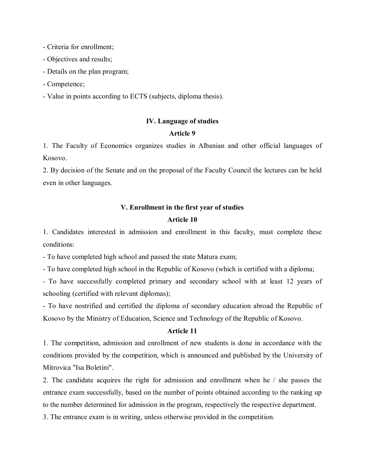- Criteria for enrollment;

- Objectives and results;
- Details on the plan program;
- Competence;

- Value in points according to ECTS (subjects, diploma thesis).

### **IV. Language of studies**

### **Article 9**

1. The Faculty of Economics organizes studies in Albanian and other official languages of Kosovo.

2. By decision of the Senate and on the proposal of the Faculty Council the lectures can be held even in other languages.

### **V. Enrollment in the first year of studies**

# **Article 10**

1. Candidates interested in admission and enrollment in this faculty, must complete these conditions:

- To have completed high school and passed the state Matura exam;

- To have completed high school in the Republic of Kosovo (which is certified with a diploma;

- To have successfully completed primary and secondary school with at least 12 years of schooling (certified with relevant diplomas);

- To have nostrified and certified the diploma of secondary education abroad the Republic of Kosovo by the Ministry of Education, Science and Technology of the Republic of Kosovo.

# **Article 11**

1. The competition, admission and enrollment of new students is done in accordance with the conditions provided by the competition, which is announced and published by the University of Mitrovica "Isa Boletini".

2. The candidate acquires the right for admission and enrollment when he / she passes the entrance exam successfully, based on the number of points obtained according to the ranking up to the number determined for admission in the program, respectively the respective department.

3. The entrance exam is in writing, unless otherwise provided in the competition.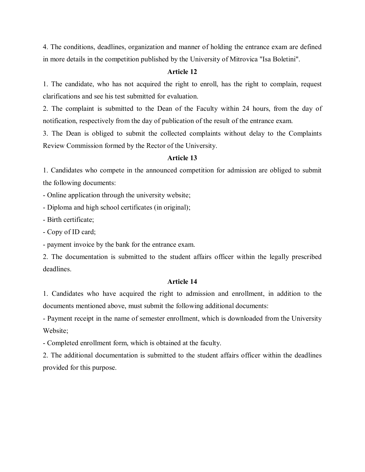4. The conditions, deadlines, organization and manner of holding the entrance exam are defined in more details in the competition published by the University of Mitrovica "Isa Boletini".

### **Article 12**

1. The candidate, who has not acquired the right to enroll, has the right to complain, request clarifications and see his test submitted for evaluation.

2. The complaint is submitted to the Dean of the Faculty within 24 hours, from the day of notification, respectively from the day of publication of the result of the entrance exam.

3. The Dean is obliged to submit the collected complaints without delay to the Complaints Review Commission formed by the Rector of the University.

### **Article 13**

1. Candidates who compete in the announced competition for admission are obliged to submit the following documents:

- Online application through the university website;

- Diploma and high school certificates (in original);

- Birth certificate;

- Copy of ID card;

- payment invoice by the bank for the entrance exam.

2. The documentation is submitted to the student affairs officer within the legally prescribed deadlines.

### **Article 14**

1. Candidates who have acquired the right to admission and enrollment, in addition to the documents mentioned above, must submit the following additional documents:

- Payment receipt in the name of semester enrollment, which is downloaded from the University Website;

- Completed enrollment form, which is obtained at the faculty.

2. The additional documentation is submitted to the student affairs officer within the deadlines provided for this purpose.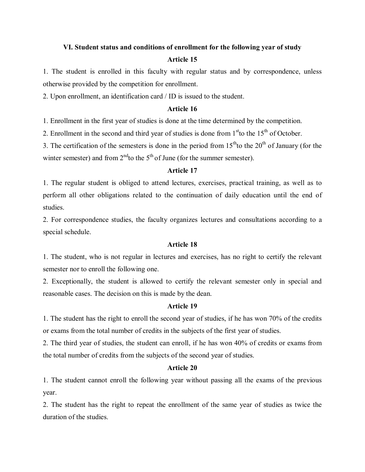# **VI. Student status and conditions of enrollment for the following year of study Article 15**

1. The student is enrolled in this faculty with regular status and by correspondence, unless otherwise provided by the competition for enrollment.

2. Upon enrollment, an identification card / ID is issued to the student.

## **Article 16**

1. Enrollment in the first year of studies is done at the time determined by the competition.

2. Enrollment in the second and third year of studies is done from  $1<sup>st</sup>$  to the  $15<sup>th</sup>$  of October.

3. The certification of the semesters is done in the period from  $15<sup>th</sup>$  to the 20<sup>th</sup> of January (for the winter semester) and from  $2<sup>nd</sup>$  to the 5<sup>th</sup> of June (for the summer semester).

### **Article 17**

1. The regular student is obliged to attend lectures, exercises, practical training, as well as to perform all other obligations related to the continuation of daily education until the end of studies.

2. For correspondence studies, the faculty organizes lectures and consultations according to a special schedule.

# **Article 18**

1. The student, who is not regular in lectures and exercises, has no right to certify the relevant semester nor to enroll the following one.

2. Exceptionally, the student is allowed to certify the relevant semester only in special and reasonable cases. The decision on this is made by the dean.

# **Article 19**

1. The student has the right to enroll the second year of studies, if he has won 70% of the credits or exams from the total number of credits in the subjects of the first year of studies.

2. The third year of studies, the student can enroll, if he has won 40% of credits or exams from the total number of credits from the subjects of the second year of studies.

# **Article 20**

1. The student cannot enroll the following year without passing all the exams of the previous year.

2. The student has the right to repeat the enrollment of the same year of studies as twice the duration of the studies.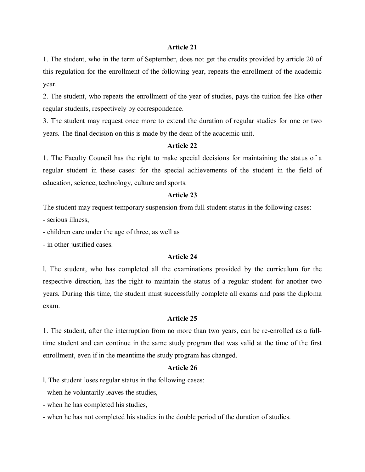1. The student, who in the term of September, does not get the credits provided by article 20 of this regulation for the enrollment of the following year, repeats the enrollment of the academic year.

2. The student, who repeats the enrollment of the year of studies, pays the tuition fee like other regular students, respectively by correspondence.

3. The student may request once more to extend the duration of regular studies for one or two years. The final decision on this is made by the dean of the academic unit.

### **Article 22**

1. The Faculty Council has the right to make special decisions for maintaining the status of a regular student in these cases: for the special achievements of the student in the field of education, science, technology, culture and sports.

### **Article 23**

The student may request temporary suspension from full student status in the following cases:

- serious illness,

- children care under the age of three, as well as

- in other justified cases.

# **Article 24**

l. The student, who has completed all the examinations provided by the curriculum for the respective direction, has the right to maintain the status of a regular student for another two years. During this time, the student must successfully complete all exams and pass the diploma exam.

### **Article 25**

1. The student, after the interruption from no more than two years, can be re-enrolled as a fulltime student and can continue in the same study program that was valid at the time of the first enrollment, even if in the meantime the study program has changed.

# **Article 26**

l. The student loses regular status in the following cases:

- when he voluntarily leaves the studies,

- when he has completed his studies,

- when he has not completed his studies in the double period of the duration of studies.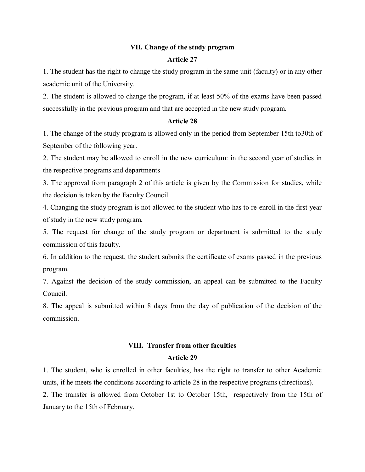# **VII. Change of the study program**

# **Article 27**

1. The student has the right to change the study program in the same unit (faculty) or in any other academic unit of the University.

2. The student is allowed to change the program, if at least 50% of the exams have been passed successfully in the previous program and that are accepted in the new study program.

### **Article 28**

1. The change of the study program is allowed only in the period from September 15th to30th of September of the following year.

2. The student may be allowed to enroll in the new curriculum: in the second year of studies in the respective programs and departments

3. The approval from paragraph 2 of this article is given by the Commission for studies, while the decision is taken by the Faculty Council.

4. Changing the study program is not allowed to the student who has to re-enroll in the first year of study in the new study program.

5. The request for change of the study program or department is submitted to the study commission of this faculty.

6. In addition to the request, the student submits the certificate of exams passed in the previous program.

7. Against the decision of the study commission, an appeal can be submitted to the Faculty Council.

8. The appeal is submitted within 8 days from the day of publication of the decision of the commission.

# **VIII. Transfer from other faculties**

# **Article 29**

1. The student, who is enrolled in other faculties, has the right to transfer to other Academic units, if he meets the conditions according to article 28 in the respective programs (directions).

2. The transfer is allowed from October 1st to October 15th, respectively from the 15th of January to the 15th of February.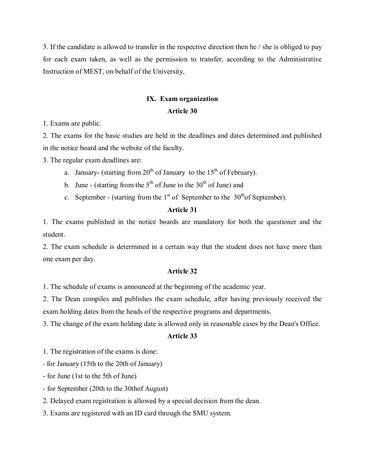3. If the candidate is allowed to transfer in the respective direction then he / she is obliged to pay for each exam taken, as well as the permission to transfer, according to the Administrative Instruction of MEST, on behalf of the University,

# **IX. Exam organization**

### **Article 30**

1. Exams are public.

2. The exams for the basic studies are held in the deadlines and dates determined and published in the notice board and the website of the faculty.

3. The regular exam deadlines are:

- a. January- (starting from  $20^{th}$  of January to the  $15^{th}$  of February).
- b. June (starting from the  $5<sup>th</sup>$  of June to the 30<sup>th</sup> of June) and
- c. September (starting from the  $1<sup>st</sup>$  of September to the  $30<sup>th</sup>$ of September).

# **Article 31**

1. The exams published in the notice boards are mandatory for both the questioner and the student.

2. The exam schedule is determined in a certain way that the student does not have more than one exam per day.

### **Article 32**

1. The schedule of exams is announced at the beginning of the academic year.

2. The Dean compiles and publishes the exam schedule, after having previously received the exam holding dates from the heads of the respective programs and departments.

3. The change of the exam holding date is allowed only in reasonable cases by the Dean's Office.

### **Article 33**

1. The registration of the exams is done:

- for January (15th to the 20th of January)

- for June (1st to the 5th of June)

- for September (20th to the 30thof August)

2. Delayed exam registration is allowed by a special decision from the dean.

3. Exams are registered with an ID card through the SMU system.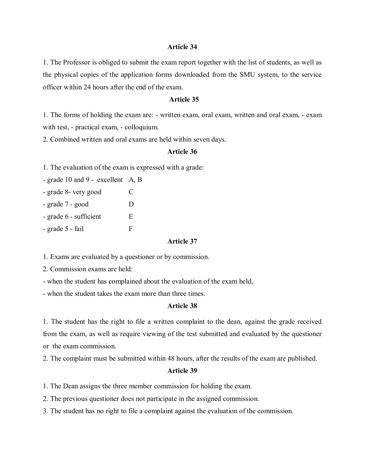1. The Professor is obliged to submit the exam report together with the list of students, as well as the physical copies of the application forms downloaded from the SMU system, to the service officer within 24 hours after the end of the exam.

### **Article 35**

1. The forms of holding the exam are: - written exam, oral exam, written and oral exam, - exam with test, - practical exam, - colloquium.

2. Combined written and oral exams are held within seven days.

### **Article 36**

1. The evaluation of the exam is expressed with a grade:

- grade 10 and 9 - excellent A, B

- grade 8- very good C
- grade 7 good D
- grade 6 sufficient E
- $-$  grade 5  $-$  fail F

### **Article 37**

1. Exams are evaluated by a questioner or by commission.

2. Commission exams are held:

- when the student has complained about the evaluation of the exam held,

- when the student takes the exam more than three times.

# **Article 38**

1. The student has the right to file a written complaint to the dean, against the grade received from the exam, as well as require viewing of the test submitted and evaluated by the questioner or the exam commission.

2. The complaint must be submitted within 48 hours, after the results of the exam are published.

### **Article 39**

1. The Dean assigns the three member commission for holding the exam.

2. The previous questioner does not participate in the assigned commission.

3. The student has no right to file a complaint against the evaluation of the commission.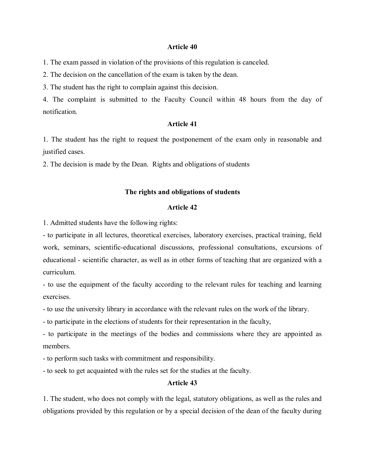1. The exam passed in violation of the provisions of this regulation is canceled.

2. The decision on the cancellation of the exam is taken by the dean.

3. The student has the right to complain against this decision.

4. The complaint is submitted to the Faculty Council within 48 hours from the day of notification.

### **Article 41**

1. The student has the right to request the postponement of the exam only in reasonable and justified cases.

2. The decision is made by the Dean. Rights and obligations of students

### **The rights and obligations of students**

## **Article 42**

1. Admitted students have the following rights:

- to participate in all lectures, theoretical exercises, laboratory exercises, practical training, field work, seminars, scientific-educational discussions, professional consultations, excursions of educational - scientific character, as well as in other forms of teaching that are organized with a curriculum.

- to use the equipment of the faculty according to the relevant rules for teaching and learning exercises.

- to use the university library in accordance with the relevant rules on the work of the library.

- to participate in the elections of students for their representation in the faculty,

- to participate in the meetings of the bodies and commissions where they are appointed as members.

- to perform such tasks with commitment and responsibility.

- to seek to get acquainted with the rules set for the studies at the faculty.

### **Article 43**

1. The student, who does not comply with the legal, statutory obligations, as well as the rules and obligations provided by this regulation or by a special decision of the dean of the faculty during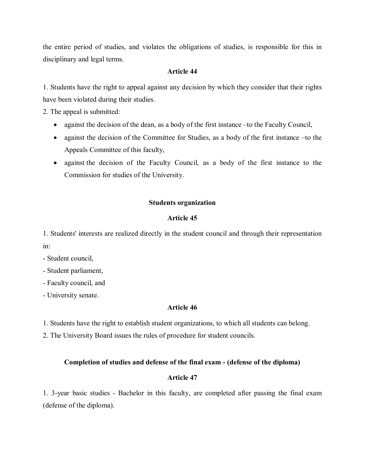the entire period of studies, and violates the obligations of studies, is responsible for this in disciplinary and legal terms.

## **Article 44**

1. Students have the right to appeal against any decision by which they consider that their rights have been violated during their studies.

2. The appeal is submitted:

- against the decision of the dean, as a body of the first instance –to the Faculty Council,
- against the decision of the Committee for Studies, as a body of the first instance –to the Appeals Committee of this faculty,
- against the decision of the Faculty Council, as a body of the first instance to the Commission for studies of the University.

### **Students organization**

### **Article 45**

1. Students' interests are realized directly in the student council and through their representation in:

- Student council,
- Student parliament,
- Faculty council, and
- University senate.

### **Article 46**

1. Students have the right to establish student organizations, to which all students can belong.

2. The University Board issues the rules of procedure for student councils.

#### **Completion of studies and defense of the final exam - (defense of the diploma)**

#### **Article 47**

1. 3-year basic studies - Bachelor in this faculty, are completed after passing the final exam (defense of the diploma).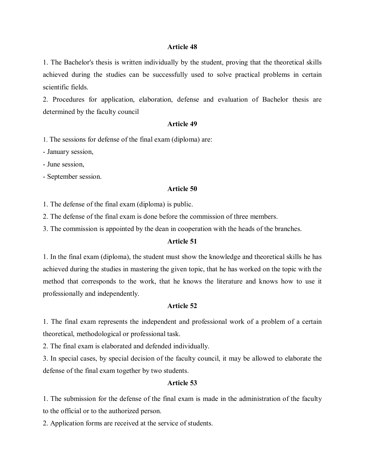1. The Bachelor's thesis is written individually by the student, proving that the theoretical skills achieved during the studies can be successfully used to solve practical problems in certain scientific fields.

2. Procedures for application, elaboration, defense and evaluation of Bachelor thesis are determined by the faculty council

### **Article 49**

1. The sessions for defense of the final exam (diploma) are:

- January session,

- June session,

- September session.

#### **Article 50**

1. The defense of the final exam (diploma) is public.

2. The defense of the final exam is done before the commission of three members.

3. The commission is appointed by the dean in cooperation with the heads of the branches.

## **Article 51**

1. In the final exam (diploma), the student must show the knowledge and theoretical skills he has achieved during the studies in mastering the given topic, that he has worked on the topic with the method that corresponds to the work, that he knows the literature and knows how to use it professionally and independently.

# **Article 52**

1. The final exam represents the independent and professional work of a problem of a certain theoretical, methodological or professional task.

2. The final exam is elaborated and defended individually.

3. In special cases, by special decision of the faculty council, it may be allowed to elaborate the defense of the final exam together by two students.

### **Article 53**

1. The submission for the defense of the final exam is made in the administration of the faculty to the official or to the authorized person.

2. Application forms are received at the service of students.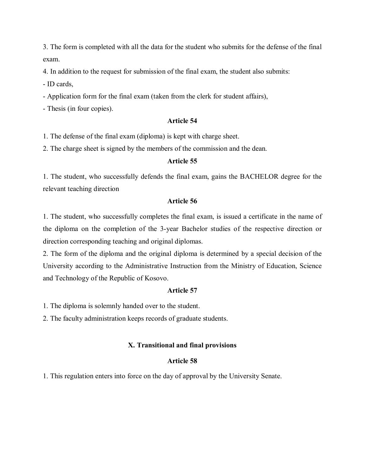3. The form is completed with all the data for the student who submits for the defense of the final exam.

4. In addition to the request for submission of the final exam, the student also submits:

- ID cards,

- Application form for the final exam (taken from the clerk for student affairs),

- Thesis (in four copies).

# **Article 54**

1. The defense of the final exam (diploma) is kept with charge sheet.

2. The charge sheet is signed by the members of the commission and the dean.

# **Article 55**

1. The student, who successfully defends the final exam, gains the BACHELOR degree for the relevant teaching direction

# **Article 56**

1. The student, who successfully completes the final exam, is issued a certificate in the name of the diploma on the completion of the 3-year Bachelor studies of the respective direction or direction corresponding teaching and original diplomas.

2. The form of the diploma and the original diploma is determined by a special decision of the University according to the Administrative Instruction from the Ministry of Education, Science and Technology of the Republic of Kosovo.

# **Article 57**

1. The diploma is solemnly handed over to the student.

2. The faculty administration keeps records of graduate students.

# **X. Transitional and final provisions**

# **Article 58**

1. This regulation enters into force on the day of approval by the University Senate.